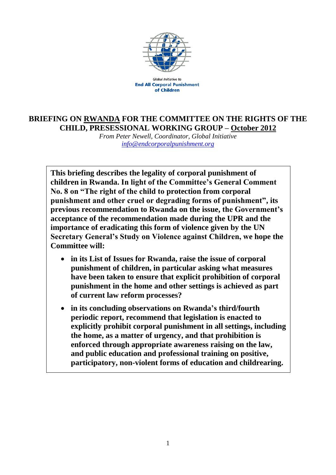

Global Initiative to **End All Corporal Punishment** of Children

## **BRIEFING ON RWANDA FOR THE COMMITTEE ON THE RIGHTS OF THE CHILD, PRESESSIONAL WORKING GROUP – October 2012**

*From Peter Newell, Coordinator, Global Initiative [info@endcorporalpunishment.org](mailto:info@endcorporalpunishment.org)*

**This briefing describes the legality of corporal punishment of children in Rwanda. In light of the Committee's General Comment No. 8 on "The right of the child to protection from corporal punishment and other cruel or degrading forms of punishment", its previous recommendation to Rwanda on the issue, the Government's acceptance of the recommendation made during the UPR and the importance of eradicating this form of violence given by the UN Secretary General's Study on Violence against Children, we hope the Committee will:**

- **in its List of Issues for Rwanda, raise the issue of corporal punishment of children, in particular asking what measures have been taken to ensure that explicit prohibition of corporal punishment in the home and other settings is achieved as part of current law reform processes?**
- **in its concluding observations on Rwanda's third/fourth periodic report, recommend that legislation is enacted to explicitly prohibit corporal punishment in all settings, including the home, as a matter of urgency, and that prohibition is enforced through appropriate awareness raising on the law, and public education and professional training on positive, participatory, non-violent forms of education and childrearing.**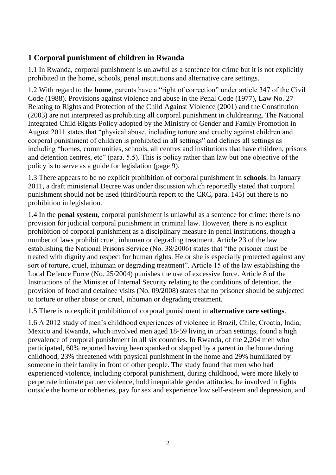## **1 Corporal punishment of children in Rwanda**

1.1 In Rwanda, corporal punishment is unlawful as a sentence for crime but it is not explicitly prohibited in the home, schools, penal institutions and alternative care settings.

1.2 With regard to the **home**, parents have a "right of correction" under article 347 of the Civil Code (1988). Provisions against violence and abuse in the Penal Code (1977), Law No. 27 Relating to Rights and Protection of the Child Against Violence (2001) and the Constitution (2003) are not interpreted as prohibiting all corporal punishment in childrearing. The National Integrated Child Rights Policy adopted by the Ministry of Gender and Family Promotion in August 2011 states that "physical abuse, including torture and cruelty against children and corporal punishment of children is prohibited in all settings" and defines all settings as including "homes, communities, schools, all centres and institutions that have children, prisons and detention centres, etc" (para. 5.5). This is policy rather than law but one objective of the policy is to serve as a guide for legislation (page 9).

1.3 There appears to be no explicit prohibition of corporal punishment in **schools**. In January 2011, a draft ministerial Decree was under discussion which reportedly stated that corporal punishment should not be used (third/fourth report to the CRC, para. 145) but there is no prohibition in legislation.

1.4 In the **penal system**, corporal punishment is unlawful as a sentence for crime: there is no provision for judicial corporal punishment in criminal law. However, there is no explicit prohibition of corporal punishment as a disciplinary measure in penal institutions, though a number of laws prohibit cruel, inhuman or degrading treatment. Article 23 of the law establishing the National Prisons Service (No. 38/2006) states that "the prisoner must be treated with dignity and respect for human rights. He or she is especially protected against any sort of torture, cruel, inhuman or degrading treatment". Article 15 of the law establishing the Local Defence Force (No. 25/2004) punishes the use of excessive force. Article 8 of the Instructions of the Minister of Internal Security relating to the conditions of detention, the provision of food and detainee visits (No. 09/2008) states that no prisoner should be subjected to torture or other abuse or cruel, inhuman or degrading treatment.

1.5 There is no explicit prohibition of corporal punishment in **alternative care settings**.

1.6 A 2012 study of men's childhood experiences of violence in Brazil, Chile, Croatia, India, Mexico and Rwanda, which involved men aged 18-59 living in urban settings, found a high prevalence of corporal punishment in all six countries. In Rwanda, of the 2,204 men who participated, 60% reported having been spanked or slapped by a parent in the home during childhood, 23% threatened with physical punishment in the home and 29% humiliated by someone in their family in front of other people. The study found that men who had experienced violence, including corporal punishment, during childhood, were more likely to perpetrate intimate partner violence, hold inequitable gender attitudes, be involved in fights outside the home or robberies, pay for sex and experience low self-esteem and depression, and